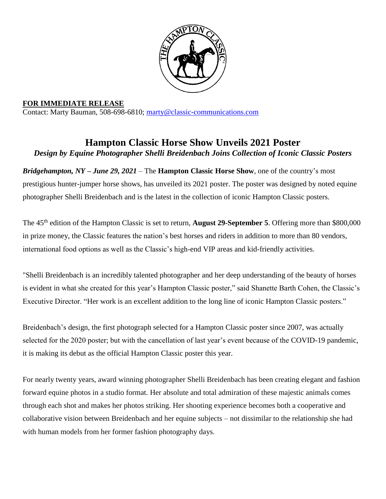

**FOR IMMEDIATE RELEASE** Contact: Marty Bauman, 508-698-6810; [marty@classic-communications.com](about:blank)

## **Hampton Classic Horse Show Unveils 2021 Poster** *Design by Equine Photographer Shelli Breidenbach Joins Collection of Iconic Classic Posters*

*Bridgehampton, NY – June 29, 2021 –* The **Hampton Classic Horse Show**, one of the country's most prestigious hunter-jumper horse shows, has unveiled its 2021 poster. The poster was designed by noted equine photographer Shelli Breidenbach and is the latest in the collection of iconic Hampton Classic posters.

The 45th edition of the Hampton Classic is set to return, **August 29-September 5**. Offering more than \$800,000 in prize money, the Classic features the nation's best horses and riders in addition to more than 80 vendors, international food options as well as the Classic's high-end VIP areas and kid-friendly activities.

"Shelli Breidenbach is an incredibly talented photographer and her deep understanding of the beauty of horses is evident in what she created for this year's Hampton Classic poster," said Shanette Barth Cohen, the Classic's Executive Director. "Her work is an excellent addition to the long line of iconic Hampton Classic posters."

Breidenbach's design, the first photograph selected for a Hampton Classic poster since 2007, was actually selected for the 2020 poster; but with the cancellation of last year's event because of the COVID-19 pandemic, it is making its debut as the official Hampton Classic poster this year.

For nearly twenty years, award winning photographer Shelli Breidenbach has been creating elegant and fashion forward equine photos in a studio format. Her absolute and total admiration of these majestic animals comes through each shot and makes her photos striking. Her shooting experience becomes both a cooperative and collaborative vision between Breidenbach and her equine subjects – not dissimilar to the relationship she had with human models from her former fashion photography days.